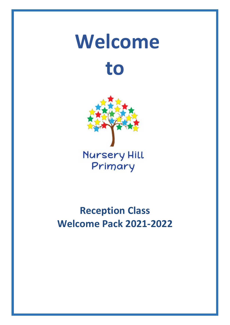# **Welcome to**



## **Reception Class Welcome Pack 2021-2022**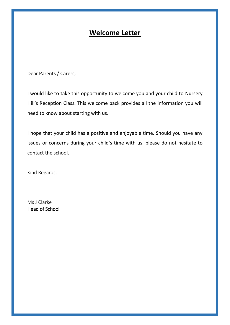## **Welcome Letter**

Dear Parents / Carers,

I would like to take this opportunity to welcome you and your child to Nursery Hill's Reception Class. This welcome pack provides all the information you will need to know about starting with us.

I hope that your child has a positive and enjoyable time. Should you have any issues or concerns during your child's time with us, please do not hesitate to contact the school.

Kind Regards,

Ms J Clarke Head of School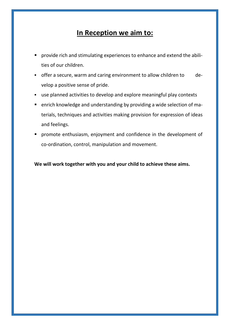## **In Reception we aim to:**

- provide rich and stimulating experiences to enhance and extend the abilities of our children.
- offer a secure, warm and caring environment to allow children to develop a positive sense of pride.
- use planned activities to develop and explore meaningful play contexts
- enrich knowledge and understanding by providing a wide selection of materials, techniques and activities making provision for expression of ideas and feelings.
- **•** promote enthusiasm, enjoyment and confidence in the development of co-ordination, control, manipulation and movement.

**We will work together with you and your child to achieve these aims.**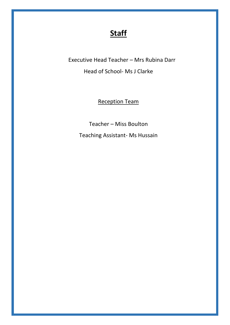## **Staff**

Executive Head Teacher – Mrs Rubina Darr Head of School- Ms J Clarke

Reception Team

Teacher – Miss Boulton

Teaching Assistant- Ms Hussain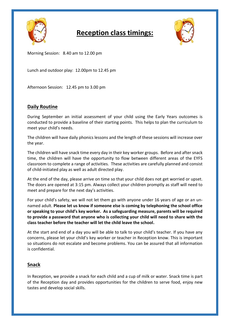

## **Reception class timings:**



Morning Session: 8.40 am to 12.00 pm

Lunch and outdoor play: 12.00pm to 12.45 pm

Afternoon Session: 12.45 pm to 3.00 pm

#### **Daily Routine**

During September an initial assessment of your child using the Early Years outcomes is conducted to provide a baseline of their starting points. This helps to plan the curriculum to meet your child's needs.

The children will have daily phonics lessons and the length of these sessions will increase over the year.

The children will have snack time every day in their key worker groups. Before and after snack time, the children will have the opportunity to flow between different areas of the EYFS classroom to complete a range of activities. These activities are carefully planned and consist of child-initiated play as well as adult directed play.

At the end of the day, please arrive on time so that your child does not get worried or upset. The doors are opened at 3:15 pm. Always collect your children promptly as staff will need to meet and prepare for the next day's activities.

For your child's safety, we will not let them go with anyone under 16 years of age or an unnamed adult. **Please let us know if someone else is coming by telephoning the school office or speaking to your child's key worker. As a safeguarding measure, parents will be required to provide a password that anyone who is collecting your child will need to share with the class teacher before the teacher will let the child leave the school.**

At the start and end of a day you will be able to talk to your child's teacher. If you have any concerns, please let your child's key worker or teacher in Reception know. This is important so situations do not escalate and become problems. You can be assured that all information is confidential.

#### **Snack**

In Reception, we provide a snack for each child and a cup of milk or water. Snack time is part of the Reception day and provides opportunities for the children to serve food, enjoy new tastes and develop social skills.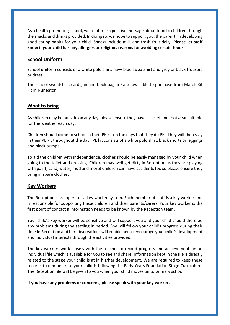As a health promoting school, we reinforce a positive message about food to children through the snacks and drinks provided. In doing so, we hope to support you, the parent, in developing good eating habits for your child. Snacks include milk and fresh fruit daily. **Please let staff know if your child has any allergies or religious reasons for avoiding certain foods.**

#### **School Uniform**

School uniform consists of a white polo shirt, navy blue sweatshirt and grey or black trousers or dress.

The school sweatshirt, cardigan and book bag are also available to purchase from Match Kit Fit in Nuneaton.

#### **What to bring**

As children may be outside on any day, please ensure they have a jacket and footwear suitable for the weather each day.

Children should come to school in their PE kit on the days that they do PE. They will then stay in their PE kit throughout the day. PE kit consists of a white polo shirt, black shorts or leggings and black pumps.

To aid the children with independence, clothes should be easily managed by your child when going to the toilet and dressing. Children may well get dirty in Reception as they are playing with paint, sand, water, mud and more! Children can have accidents too so please ensure they bring in spare clothes.

#### **Key Workers**

The Reception class operates a key worker system. Each member of staff is a key worker and is responsible for supporting these children and their parents/carers. Your key worker is the first point of contact if information needs to be known by the Reception team.

Your child's key worker will be sensitive and will support you and your child should there be any problems during the settling in period. She will follow your child's progress during their time in Reception and her observations will enable her to encourage your child's development and individual interests through the activities provided.

The key workers work closely with the teacher to record progress and achievements in an individual file which is available for you to see and share. Information kept in the file is directly related to the stage your child is at in his/her development. We are required to keep these records to demonstrate your child is following the Early Years Foundation Stage Curriculum. The Reception file will be given to you when your child moves on to primary school.

**If you have any problems or concerns, please speak with your key worker.**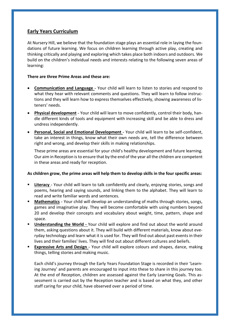#### **Early Years Curriculum**

At Nursery Hill, we believe that the foundation stage plays an essential role in laying the foundations of future learning. We focus on children learning through active play, creating and thinking critically and playing and exploring which takes place both indoors and outdoors. We build on the children's individual needs and interests relating to the following seven areas of learning:

#### **There are three Prime Areas and these are:**

- **Communication and Language** Your child will learn to listen to stories and respond to what they hear with relevant comments and questions. They will learn to follow instructions and they will learn how to express themselves effectively, showing awareness of listeners' needs.
- **Physical development** Your child will learn to move confidently, control their body, handle different kinds of tools and equipment with increasing skill and be able to dress and undress independently.
- **Personal, Social and Emotional Development** Your child will learn to be self-confident, take an interest in things, know what their own needs are, tell the difference between right and wrong, and develop their skills in making relationships.

These prime areas are essential for your child's healthy development and future learning. Our aim in Reception is to ensure that by the end of the year all the children are competent in these areas and ready for reception.

#### **As children grow, the prime areas will help them to develop skills in the four specific areas:**

- **Literacy** Your child will learn to talk confidently and clearly, enjoying stories, songs and poems, hearing and saying sounds, and linking them to the alphabet. They will learn to read and write familiar words and sentences.
- **Mathematics** Your child will develop an understanding of maths through stories, songs, games and imaginative play. They will become comfortable with using numbers beyond 20 and develop their concepts and vocabulary about weight, time, pattern, shape and space.
- **Understanding the World** Your child will explore and find out about the world around them, asking questions about it. They will build with different materials, know about everyday technology and learn what it is used for. They will find out about past events in their lives and their families' lives. They will find out about different cultures and beliefs.
- **Expressive Arts and Design** Your child will explore colours and shapes, dance, making things, telling stories and making music.

Each child's journey through the Early Years Foundation Stage is recorded in their 'Learning Journey' and parents are encouraged to input into these to share in this journey too. At the end of Reception, children are assessed against the Early Learning Goals. This assessment is carried out by the Reception teacher and is based on what they, and other staff caring for your child, have observed over a period of time.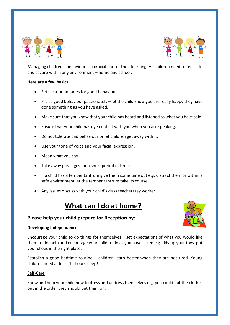



Managing children's behaviour is a crucial part of their learning. All children need to feel safe and secure within any environment – home and school.

#### **Here are a few basics:**

- Set clear boundaries for good behaviour
- Praise good behaviour passionately let the child know you are really happy they have done something as you have asked.
- Make sure that you know that your child has heard and listened to what you have said.
- Ensure that your child has eye contact with you when you are speaking.
- Do not tolerate bad behaviour or let children get away with it.
- Use your tone of voice and your facial expression.
- Mean what you say.
- Take away privileges for a short period of time.
- If a child has a temper tantrum give them some time out e.g. distract them or within a safe environment let the temper tantrum take its course.
- Any issues discuss with your child's class teacher/key worker.

## **What can I do at home?**



#### **Please help your child prepare for Reception by:**

#### **Developing Independence**

Encourage your child to do things for themselves – set expectations of what you would like them to do, help and encourage your child to do as you have asked e.g. tidy up your toys, put your shoes in the right place.

Establish a good bedtime routine – children learn better when they are not tired. Young children need at least 12 hours sleep!

#### **Self-Care**

Show and help your child how to dress and undress themselves e.g. you could put the clothes out in the order they should put them on.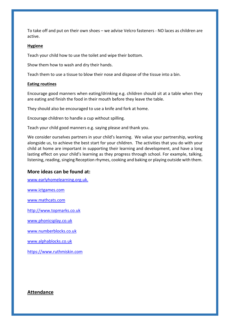To take off and put on their own shoes – we advise Velcro fasteners - NO laces as children are active.

#### **Hygiene**

Teach your child how to use the toilet and wipe their bottom.

Show them how to wash and dry their hands.

Teach them to use a tissue to blow their nose and dispose of the tissue into a bin.

#### **Eating routines**

Encourage good manners when eating/drinking e.g. children should sit at a table when they are eating and finish the food in their mouth before they leave the table.

They should also be encouraged to use a knife and fork at home.

Encourage children to handle a cup without spilling.

Teach your child good manners e.g. saying please and thank you.

We consider ourselves partners in your child's learning. We value your partnership, working alongside us, to achieve the best start for your children. The activities that you do with your child at home are important in supporting their learning and development, and have a long lasting effect on your child's learning as they progress through school. For example, talking, listening, reading, singing Reception rhymes, cooking and baking or playing outside with them.

#### **More ideas can be found at:**

[www.earlyhomelearning.org.uk.](http://www.earlyhomelearning.org.uk/)

[www.ictgames.com](http://www.ictgames.com/)

[www.mathcats.com](http://www.mathcats.com/)

[http://www.topmarks.co.uk](http://www.topmarks.co.uk/)

[www.phonicsplay.co.uk](http://www.phonicsplay.co.uk/)

[www.numberblocks.co.uk](http://www.numberblocks.co.uk/)

[www.alphablocks.co.uk](http://www.alphablocks.co.uk/)

https://www.ruthmiskin.com

#### **Attendance**